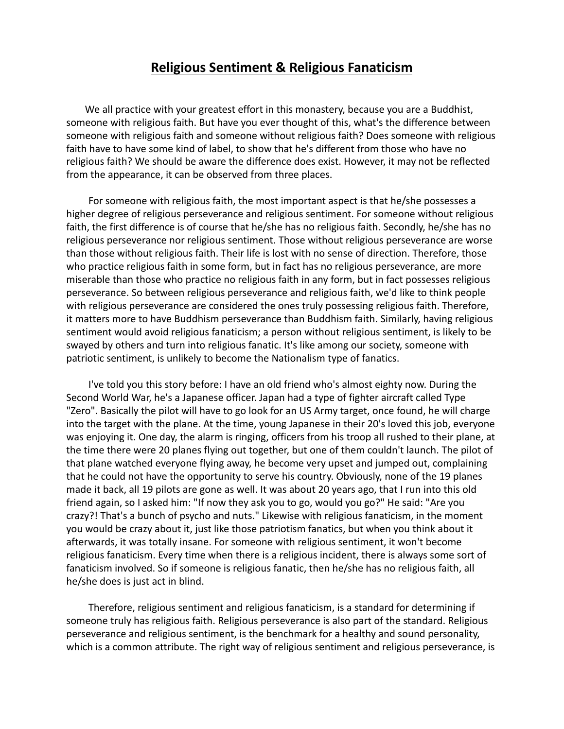## **Religious Sentiment & Religious Fanaticism**

We all practice with your greatest effort in this monastery, because you are a Buddhist, someone with religious faith. But have you ever thought of this, what's the difference between someone with religious faith and someone without religious faith? Does someone with religious faith have to have some kind of label, to show that he's different from those who have no religious faith? We should be aware the difference does exist. However, it may not be reflected from the appearance, it can be observed from three places.

For someone with religious faith, the most important aspect is that he/she possesses a higher degree of religious perseverance and religious sentiment. For someone without religious faith, the first difference is of course that he/she has no religious faith. Secondly, he/she has no religious perseverance nor religious sentiment. Those without religious perseverance are worse than those without religious faith. Their life is lost with no sense of direction. Therefore, those who practice religious faith in some form, but in fact has no religious perseverance, are more miserable than those who practice no religious faith in any form, but in fact possesses religious perseverance. So between religious perseverance and religious faith, we'd like to think people with religious perseverance are considered the ones truly possessing religious faith. Therefore, it matters more to have Buddhism perseverance than Buddhism faith. Similarly, having religious sentiment would avoid religious fanaticism; a person without religious sentiment, is likely to be swayed by others and turn into religious fanatic. It's like among our society, someone with patriotic sentiment, is unlikely to become the Nationalism type of fanatics.

I've told you this story before: I have an old friend who's almost eighty now. During the Second World War, he's a Japanese officer. Japan had a type of fighter aircraft called Type "Zero". Basically the pilot will have to go look for an US Army target, once found, he will charge into the target with the plane. At the time, young Japanese in their 20's loved this job, everyone was enjoying it. One day, the alarm is ringing, officers from his troop all rushed to their plane, at the time there were 20 planes flying out together, but one of them couldn't launch. The pilot of that plane watched everyone flying away, he become very upset and jumped out, complaining that he could not have the opportunity to serve his country. Obviously, none of the 19 planes made it back, all 19 pilots are gone as well. It was about 20 years ago, that I run into this old friend again, so I asked him: "If now they ask you to go, would you go?" He said: "Are you crazy?! That's a bunch of psycho and nuts." Likewise with religious fanaticism, in the moment you would be crazy about it, just like those patriotism fanatics, but when you think about it afterwards, it was totally insane. For someone with religious sentiment, it won't become religious fanaticism. Every time when there is a religious incident, there is always some sort of fanaticism involved. So if someone is religious fanatic, then he/she has no religious faith, all he/she does is just act in blind.

Therefore, religious sentiment and religious fanaticism, is a standard for determining if someone truly has religious faith. Religious perseverance is also part of the standard. Religious perseverance and religious sentiment, is the benchmark for a healthy and sound personality, which is a common attribute. The right way of religious sentiment and religious perseverance, is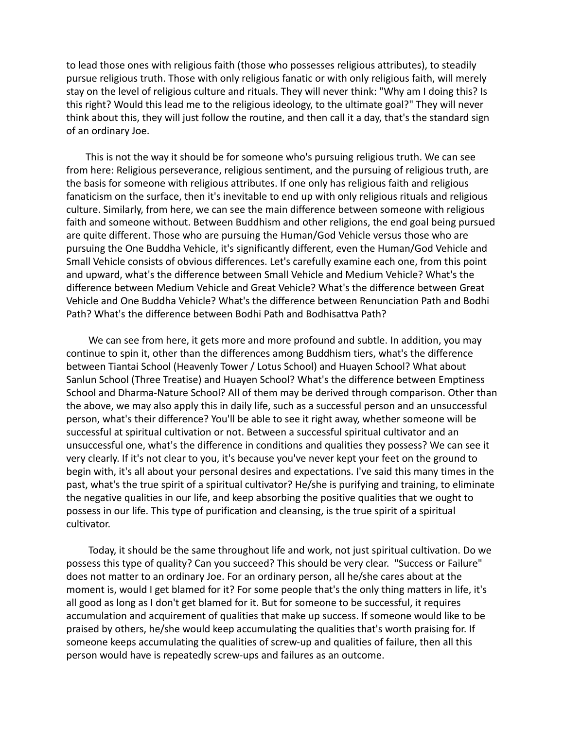to lead those ones with religious faith (those who possesses religious attributes), to steadily pursue religious truth. Those with only religious fanatic or with only religious faith, will merely stay on the level of religious culture and rituals. They will never think: "Why am I doing this? Is this right? Would this lead me to the religious ideology, to the ultimate goal?" They will never think about this, they will just follow the routine, and then call it a day, that's the standard sign of an ordinary Joe.

This is not the way it should be for someone who's pursuing religious truth. We can see from here: Religious perseverance, religious sentiment, and the pursuing of religious truth, are the basis for someone with religious attributes. If one only has religious faith and religious fanaticism on the surface, then it's inevitable to end up with only religious rituals and religious culture. Similarly, from here, we can see the main difference between someone with religious faith and someone without. Between Buddhism and other religions, the end goal being pursued are quite different. Those who are pursuing the Human/God Vehicle versus those who are pursuing the One Buddha Vehicle, it's significantly different, even the Human/God Vehicle and Small Vehicle consists of obvious differences. Let's carefully examine each one, from this point and upward, what's the difference between Small Vehicle and Medium Vehicle? What's the difference between Medium Vehicle and Great Vehicle? What's the difference between Great Vehicle and One Buddha Vehicle? What's the difference between Renunciation Path and Bodhi Path? What's the difference between Bodhi Path and Bodhisattva Path?

We can see from here, it gets more and more profound and subtle. In addition, you may continue to spin it, other than the differences among Buddhism tiers, what's the difference between Tiantai School (Heavenly Tower / Lotus School) and Huayen School? What about Sanlun School (Three Treatise) and Huayen School? What's the difference between Emptiness School and Dharma-Nature School? All of them may be derived through comparison. Other than the above, we may also apply this in daily life, such as a successful person and an unsuccessful person, what's their difference? You'll be able to see it right away, whether someone will be successful at spiritual cultivation or not. Between a successful spiritual cultivator and an unsuccessful one, what's the difference in conditions and qualities they possess? We can see it very clearly. If it's not clear to you, it's because you've never kept your feet on the ground to begin with, it's all about your personal desires and expectations. I've said this many times in the past, what's the true spirit of a spiritual cultivator? He/she is purifying and training, to eliminate the negative qualities in our life, and keep absorbing the positive qualities that we ought to possess in our life. This type of purification and cleansing, is the true spirit of a spiritual cultivator.

Today, it should be the same throughout life and work, not just spiritual cultivation. Do we possess this type of quality? Can you succeed? This should be very clear. "Success or Failure" does not matter to an ordinary Joe. For an ordinary person, all he/she cares about at the moment is, would I get blamed for it? For some people that's the only thing matters in life, it's all good as long as I don't get blamed for it. But for someone to be successful, it requires accumulation and acquirement of qualities that make up success. If someone would like to be praised by others, he/she would keep accumulating the qualities that's worth praising for. If someone keeps accumulating the qualities of screw-up and qualities of failure, then all this person would have is repeatedly screw-ups and failures as an outcome.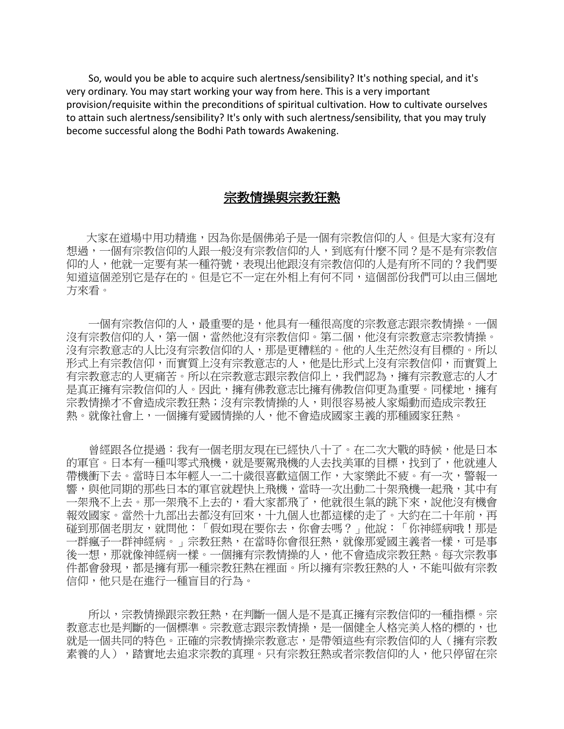So, would you be able to acquire such alertness/sensibility? It's nothing special, and it's very ordinary. You may start working your way from here. This is a very important provision/requisite within the preconditions of spiritual cultivation. How to cultivate ourselves to attain such alertness/sensibility? It's only with such alertness/sensibility, that you may truly become successful along the Bodhi Path towards Awakening.

## 宗教情操與宗教狂熱

大家在道場中用功精進,因為你是個佛弟子是一個有宗教信仰的人。但是大家有沒有 想過,一個有宗教信仰的人跟一般沒有宗教信仰的人,到底有什麼不同?是不是有宗教信 仰的人,他就一定要有某一種符號,表現出他跟沒有宗教信仰的人是有所不同的?我們要 知道這個差別它是存在的。但是它不一定在外相上有何不同,這個部份我們可以由三個地 方來看。

一個有宗教信仰的人,最重要的是,他具有一種很高度的宗教意志跟宗教情操。一個 沒有宗教信仰的人,第一個,當然他沒有宗教信仰。第二個,他沒有宗教意志宗教情操。 沒有宗教意志的人比沒有宗教信仰的人,那是更糟糕的。他的人生茫然沒有目標的。所以 形式上有宗教信仰,而實質上沒有宗教意志的人,他是比形式上沒有宗教信仰,而實質上 有宗教意志的人更痛苦。所以在宗教意志跟宗教信仰上,我們認為,擁有宗教意志的人才 是真正擁有宗教信仰的人。因此,擁有佛教意志比擁有佛教信仰更為重要。同樣地,擁有 宗教情操才不會造成宗教狂熱;沒有宗教情操的人,則很容易被人家煽動而造成宗教狂 熱。就像社會上,一個擁有愛國情操的人,他不會造成國家主義的那種國家狂熱。

曾經跟各位提過:我有一個老朋友現在已經快八十了。在二次大戰的時候,他是日本 的軍官。日本有一種叫零式飛機,就是要駕飛機的人去找美軍的目標,找到了,他就連人 帶機衝下去。當時日本年輕人一二十歲很喜歡這個工作,大家樂此不疲。有一次,警報一 響,與他同期的那些日本的軍官就趕快上飛機,當時一次出動二十架飛機一起飛,其中有 一架飛不上去。那一架飛不上去的,看大家都飛了,他就很生氣的跳下來,說他沒有機會 報效國家。當然十九部出去都沒有回來,十九個人也都這樣的走了。大約在二十年前,再 **碰到那個老朋友,就問他:「假如現在要你去,你會去嗎?」他說:「你神經病哦!那是** 一群瘋子一群神經病。」宗教狂熱,在當時你會很狂熱,就像那愛國主義者一樣,可是事 後一想,那就像神經病一樣。一個擁有宗教情操的人,他不會造成宗教狂熱。每次宗教事 件都會發現,都是擁有那一種宗教狂熱在裡面。所以擁有宗教狂熱的人,不能叫做有宗教 信仰,他只是在進行一種盲目的行為。

所以,宗教情操跟宗教狂熱,在判斷一個人是不是真正擁有宗教信仰的一種指標。宗 教意志也是判斷的一個標準。宗教意志跟宗教情操,是一個健全人格完美人格的標的,也 就是一個共同的特色。正確的宗教情操宗教意志,是帶領這些有宗教信仰的人(擁有宗教 素養的人),踏實地去追求宗教的真理。只有宗教狂熱或者宗教信仰的人,他只停留在宗